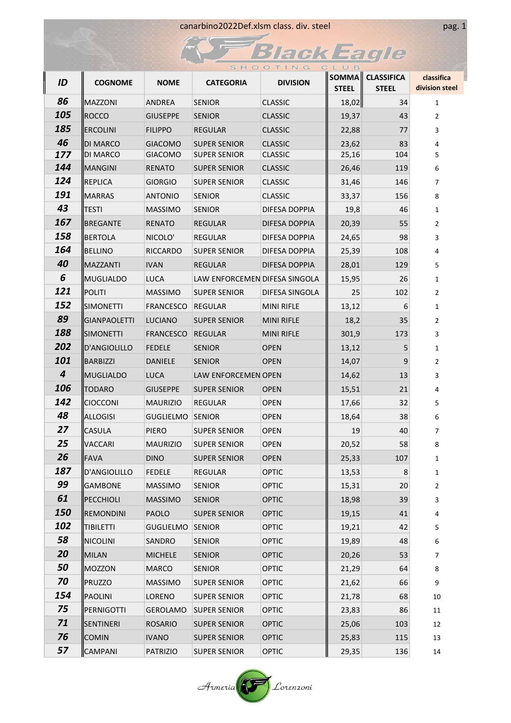|            |                     |                  |                               | SHOOTING          | CLUB                  |                                   |                              |
|------------|---------------------|------------------|-------------------------------|-------------------|-----------------------|-----------------------------------|------------------------------|
| ID         | <b>COGNOME</b>      | <b>NOME</b>      | <b>CATEGORIA</b>              | <b>DIVISION</b>   | SOMMA<br><b>STEEL</b> | <b>CLASSIFICA</b><br><b>STEEL</b> | classifica<br>division steel |
| 86         | MAZZONI             | ANDREA           | <b>SENIOR</b>                 | <b>CLASSIC</b>    | 18,02                 | 34                                | $\mathbf{1}$                 |
| 105        | ROCCO               | <b>GIUSEPPE</b>  | <b>SENIOR</b>                 | <b>CLASSIC</b>    | 19,37                 | 43                                | 2                            |
| 185        | <b>ERCOLINI</b>     | <b>FILIPPO</b>   | <b>REGULAR</b>                | <b>CLASSIC</b>    | 22,88                 | 77                                | 3                            |
| 46         | <b>DI MARCO</b>     | <b>GIACOMO</b>   | <b>SUPER SENIOR</b>           | <b>CLASSIC</b>    | 23,62                 | 83                                | 4                            |
| 177        | DI MARCO            | <b>GIACOMO</b>   | <b>SUPER SENIOR</b>           | <b>CLASSIC</b>    | 25,16                 | 104                               | 5                            |
| 144        | <b>MANGINI</b>      | <b>RENATO</b>    | <b>SUPER SENIOR</b>           | <b>CLASSIC</b>    | 26,46                 | 119                               | 6                            |
| 124        | <b>REPLICA</b>      | <b>GIORGIO</b>   | <b>SUPER SENIOR</b>           | <b>CLASSIC</b>    | 31,46                 | 146                               | $\overline{7}$               |
| 191        | <b>MARRAS</b>       | <b>ANTONIO</b>   | <b>SENIOR</b>                 | <b>CLASSIC</b>    | 33,37                 | 156                               | 8                            |
| 43         | <b>TESTI</b>        | <b>MASSIMO</b>   | <b>SENIOR</b>                 | DIFESA DOPPIA     | 19,8                  | 46                                | $\mathbf{1}$                 |
| 167        | <b>BREGANTE</b>     | <b>RENATO</b>    | <b>REGULAR</b>                | DIFESA DOPPIA     | 20,39                 | 55                                | $\overline{2}$               |
| 158        | <b>BERTOLA</b>      | NICOLO'          | REGULAR                       | DIFESA DOPPIA     | 24,65                 | 98                                | 3                            |
| 164        | <b>BELLINO</b>      | <b>RICCARDO</b>  | <b>SUPER SENIOR</b>           | DIFESA DOPPIA     | 25,39                 | 108                               | 4                            |
| 40         | MAZZANTI            | <b>IVAN</b>      | <b>REGULAR</b>                | DIFESA DOPPIA     | 28,01                 | 129                               | 5                            |
| 6          | <b>MUGLIALDO</b>    | <b>LUCA</b>      | LAW ENFORCEMEN DIFESA SINGOLA |                   | 15,95                 | 26                                | 1                            |
| 121        | <b>POLITI</b>       | <b>MASSIMO</b>   | <b>SUPER SENIOR</b>           | DIFESA SINGOLA    | 25                    | 102                               | $\overline{2}$               |
| 152        | <b>SIMONETTI</b>    | FRANCESCO        | <b>REGULAR</b>                | <b>MINI RIFLE</b> | 13,12                 | 6                                 | $\mathbf{1}$                 |
| 89         | <b>GIANPAOLETTI</b> | <b>LUCIANO</b>   | <b>SUPER SENIOR</b>           | <b>MINI RIFLE</b> | 18,2                  | 35                                | 2                            |
| 188        | <b>SIMONETTI</b>    | <b>FRANCESCO</b> | <b>REGULAR</b>                | <b>MINI RIFLE</b> | 301,9                 | 173                               | 3                            |
| 202        | D'ANGIOLILLO        | <b>FEDELE</b>    | <b>SENIOR</b>                 | <b>OPEN</b>       | 13,12                 | 5                                 | $\mathbf{1}$                 |
| 101        | <b>BARBIZZI</b>     | DANIELE          | <b>SENIOR</b>                 | <b>OPEN</b>       | 14,07                 | 9                                 | 2                            |
| 4          | MUGLIALDO           | <b>LUCA</b>      | LAW ENFORCEMEN OPEN           |                   | 14,62                 | 13                                | 3                            |
| 106        | <b>TODARO</b>       | <b>GIUSEPPE</b>  | <b>SUPER SENIOR</b>           | <b>OPEN</b>       | 15,51                 | 21                                | 4                            |
| 142        | <b>CIOCCONI</b>     | <b>MAURIZIO</b>  | REGULAR                       | <b>OPEN</b>       | 17,66                 | 32                                | 5                            |
| 48         | <b>ALLOGISI</b>     | <b>GUGLIELMO</b> | <b>SENIOR</b>                 | <b>OPEN</b>       | 18,64                 | 38                                | 6                            |
| 27         | <b>CASULA</b>       | <b>PIERO</b>     | <b>SUPER SENIOR</b>           | <b>OPEN</b>       | 19                    | 40                                | $\overline{7}$               |
| 25         | <b>VACCARI</b>      | <b>MAURIZIO</b>  | <b>SUPER SENIOR</b>           | <b>OPEN</b>       | 20,52                 | 58                                | 8                            |
| 26         | <b>FAVA</b>         | <b>DINO</b>      | <b>SUPER SENIOR</b>           | <b>OPEN</b>       | 25,33                 | 107                               | 1                            |
| 187        | D'ANGIOLILLO        | <b>FEDELE</b>    | REGULAR                       | <b>OPTIC</b>      | 13,53                 | 8                                 | 1                            |
| 99         | <b>GAMBONE</b>      | <b>MASSIMO</b>   | <b>SENIOR</b>                 | <b>OPTIC</b>      | 15,31                 | 20                                | $\overline{2}$               |
| 61         | PECCHIOLI           | <b>MASSIMO</b>   | <b>SENIOR</b>                 | <b>OPTIC</b>      | 18,98                 | 39                                | 3                            |
| <b>150</b> | <b>REMONDINI</b>    | PAOLO            | <b>SUPER SENIOR</b>           | <b>OPTIC</b>      | 19,15                 | 41                                | 4                            |
| 102        | <b>TIBILETTI</b>    | <b>GUGLIELMO</b> | <b>SENIOR</b>                 | <b>OPTIC</b>      | 19,21                 | 42                                | 5                            |
| 58         | <b>NICOLINI</b>     | SANDRO           | <b>SENIOR</b>                 | <b>OPTIC</b>      | 19,89                 | 48                                | 6                            |
| 20         | <b>MILAN</b>        | <b>MICHELE</b>   | <b>SENIOR</b>                 | <b>OPTIC</b>      | 20,26                 | 53                                | $\overline{7}$               |
| 50         | <b>MOZZON</b>       | <b>MARCO</b>     | <b>SENIOR</b>                 | <b>OPTIC</b>      | 21,29                 | 64                                | 8                            |
| 70         | PRUZZO              | <b>MASSIMO</b>   | <b>SUPER SENIOR</b>           | <b>OPTIC</b>      | 21,62                 | 66                                | 9                            |
| 154        | PAOLINI             | LORENO           | <b>SUPER SENIOR</b>           | <b>OPTIC</b>      | 21,78                 | 68                                | 10                           |
| 75         | PERNIGOTTI          | GEROLAMO         | <b>SUPER SENIOR</b>           | <b>OPTIC</b>      | 23,83                 | 86                                | 11                           |
| 71         | SENTINERI           | <b>ROSARIO</b>   | <b>SUPER SENIOR</b>           | <b>OPTIC</b>      | 25,06                 | 103                               | 12                           |
| 76         | <b>COMIN</b>        | <b>IVANO</b>     | <b>SUPER SENIOR</b>           | <b>OPTIC</b>      | 25,83                 | 115                               | 13                           |
| 57         | <b>CAMPANI</b>      | <b>PATRIZIO</b>  | <b>SUPER SENIOR</b>           | <b>OPTIC</b>      | 29,35                 | 136                               | 14                           |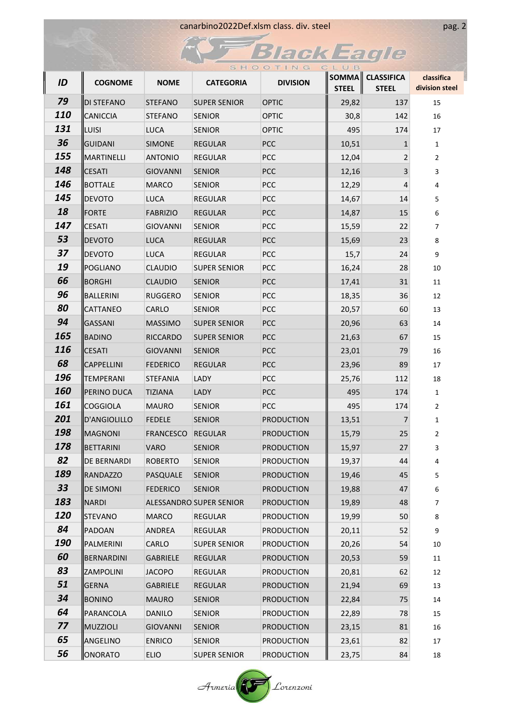| canarbino2022Def.xlsm class. div. steel |
|-----------------------------------------|
|-----------------------------------------|

 $\widetilde{A}$ 

# **FBlackEagle**

pag. 2

|            |                    |                  |                         | SHOOTING          | CLUB  |                                  |                              |
|------------|--------------------|------------------|-------------------------|-------------------|-------|----------------------------------|------------------------------|
| ID         | <b>COGNOME</b>     | <b>NOME</b>      | <b>CATEGORIA</b>        | <b>DIVISION</b>   | STEEL | SOMMA CLASSIFICA<br><b>STEEL</b> | classifica<br>division steel |
| 79         | <b>DI STEFANO</b>  | <b>STEFANO</b>   | <b>SUPER SENIOR</b>     | <b>OPTIC</b>      | 29,82 | 137                              | 15                           |
| <b>110</b> | <b>CANICCIA</b>    | <b>STEFANO</b>   | <b>SENIOR</b>           | <b>OPTIC</b>      | 30,8  | 142                              | 16                           |
| 131        | LUISI              | <b>LUCA</b>      | <b>SENIOR</b>           | <b>OPTIC</b>      | 495   | 174                              | 17                           |
| 36         | <b>GUIDANI</b>     | <b>SIMONE</b>    | <b>REGULAR</b>          | <b>PCC</b>        | 10,51 | 1                                | 1                            |
| 155        | MARTINELLI         | <b>ANTONIO</b>   | <b>REGULAR</b>          | <b>PCC</b>        | 12,04 | 2                                | $\overline{2}$               |
| 148        | <b>CESATI</b>      | <b>GIOVANNI</b>  | <b>SENIOR</b>           | <b>PCC</b>        | 12,16 | 3                                | 3                            |
| 146        | BOTTALE            | <b>MARCO</b>     | <b>SENIOR</b>           | <b>PCC</b>        | 12,29 | 4                                | 4                            |
| 145        | <b>DEVOTO</b>      | <b>LUCA</b>      | REGULAR                 | <b>PCC</b>        | 14,67 | 14                               | 5                            |
| 18         | FORTE              | <b>FABRIZIO</b>  | <b>REGULAR</b>          | <b>PCC</b>        | 14,87 | 15                               | 6                            |
| 147        | <b>CESATI</b>      | <b>GIOVANNI</b>  | <b>SENIOR</b>           | <b>PCC</b>        | 15,59 | 22                               | $\overline{7}$               |
| 53         | <b>DEVOTO</b>      | <b>LUCA</b>      | REGULAR                 | <b>PCC</b>        | 15,69 | 23                               | 8                            |
| 37         | <b>DEVOTO</b>      | <b>LUCA</b>      | REGULAR                 | <b>PCC</b>        | 15,7  | 24                               | 9                            |
| 19         | <b>POGLIANO</b>    | <b>CLAUDIO</b>   | <b>SUPER SENIOR</b>     | <b>PCC</b>        | 16,24 | 28                               | 10                           |
| 66         | BORGHI             | <b>CLAUDIO</b>   | <b>SENIOR</b>           | <b>PCC</b>        | 17,41 | 31                               | 11                           |
| 96         | BALLERINI          | RUGGERO          | <b>SENIOR</b>           | <b>PCC</b>        | 18,35 | 36                               | 12                           |
| 80         | <b>CATTANEO</b>    | CARLO            | <b>SENIOR</b>           | <b>PCC</b>        | 20,57 | 60                               | 13                           |
| 94         | <b>GASSANI</b>     | <b>MASSIMO</b>   | <b>SUPER SENIOR</b>     | <b>PCC</b>        | 20,96 | 63                               | 14                           |
| 165        | BADINO             | RICCARDO         | <b>SUPER SENIOR</b>     | <b>PCC</b>        | 21,63 | 67                               | 15                           |
| 116        | <b>CESATI</b>      | <b>GIOVANNI</b>  | <b>SENIOR</b>           | <b>PCC</b>        | 23,01 | 79                               | 16                           |
| 68         | CAPPELLINI         | <b>FEDERICO</b>  | <b>REGULAR</b>          | <b>PCC</b>        | 23,96 | 89                               | 17                           |
| 196        | <b>TEMPERANI</b>   | <b>STEFANIA</b>  | LADY                    | <b>PCC</b>        | 25,76 | 112                              | 18                           |
| <b>160</b> | PERINO DUCA        | <b>TIZIANA</b>   | LADY                    | <b>PCC</b>        | 495   | 174                              | $\mathbf{1}$                 |
| 161        | COGGIOLA           | <b>MAURO</b>     | <b>SENIOR</b>           | <b>PCC</b>        | 495   | 174                              | $\overline{2}$               |
| 201        | D'ANGIOLILLO       | <b>FEDELE</b>    | <b>SENIOR</b>           | <b>PRODUCTION</b> | 13,51 | 7                                | $\mathbf{1}$                 |
| 198        | MAGNONI            | <b>FRANCESCO</b> | <b>REGULAR</b>          | <b>PRODUCTION</b> | 15,79 | 25                               | $\overline{2}$               |
| 178        | BETTARINI          | VARO             | <b>SENIOR</b>           | <b>PRODUCTION</b> | 15,97 | 27                               | ર                            |
| 82         | <b>DE BERNARDI</b> | <b>ROBERTO</b>   | <b>SENIOR</b>           | <b>PRODUCTION</b> | 19,37 | 44                               | 4                            |
| 189        | <b>RANDAZZO</b>    | PASQUALE         | <b>SENIOR</b>           | <b>PRODUCTION</b> | 19,46 | 45                               | 5                            |
| 33         | <b>DE SIMONI</b>   | <b>FEDERICO</b>  | <b>SENIOR</b>           | <b>PRODUCTION</b> | 19,88 | 47                               | 6                            |
| 183        | <b>NARDI</b>       |                  | ALESSANDRO SUPER SENIOR | <b>PRODUCTION</b> | 19,89 | 48                               | 7                            |
| 120        | STEVANO            | <b>MARCO</b>     | <b>REGULAR</b>          | <b>PRODUCTION</b> | 19,99 | 50 <sup>°</sup>                  | 8                            |
| 84         | PADOAN             | ANDREA           | REGULAR                 | <b>PRODUCTION</b> | 20,11 | 52                               | 9                            |
| <b>190</b> | PALMERINI          | CARLO            | <b>SUPER SENIOR</b>     | <b>PRODUCTION</b> | 20,26 | 54                               | 10                           |
| 60         | BERNARDINI         | <b>GABRIELE</b>  | <b>REGULAR</b>          | <b>PRODUCTION</b> | 20,53 | 59                               | 11                           |
| 83         | ZAMPOLINI          | <b>JACOPO</b>    | REGULAR                 | <b>PRODUCTION</b> | 20,81 | 62                               | 12                           |
| 51         | <b>GERNA</b>       | GABRIELE         | REGULAR                 | <b>PRODUCTION</b> | 21,94 | 69                               | 13                           |
| 34         | BONINO             | <b>MAURO</b>     | <b>SENIOR</b>           | <b>PRODUCTION</b> | 22,84 | 75                               | 14                           |
| 64         | PARANCOLA          | <b>DANILO</b>    | <b>SENIOR</b>           | <b>PRODUCTION</b> | 22,89 | 78                               | 15                           |
| 77         | MUZZIOLI           | GIOVANNI         | <b>SENIOR</b>           | <b>PRODUCTION</b> | 23,15 | 81                               | 16                           |
| 65         | ANGELINO           | <b>ENRICO</b>    | <b>SENIOR</b>           | <b>PRODUCTION</b> | 23,61 | 82                               | 17                           |
| 56         | ONORATO            | <b>ELIO</b>      | <b>SUPER SENIOR</b>     | <b>PRODUCTION</b> | 23,75 | 84                               | 18                           |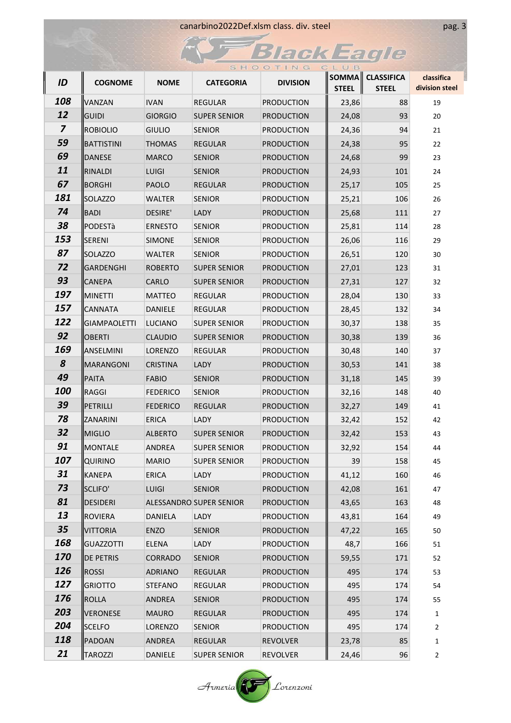|                         |                     |                 |                         | SHOOTING          | CLUB         |                                  |                              |
|-------------------------|---------------------|-----------------|-------------------------|-------------------|--------------|----------------------------------|------------------------------|
| ID                      | <b>COGNOME</b>      | <b>NOME</b>     | <b>CATEGORIA</b>        | <b>DIVISION</b>   | <b>STEEL</b> | SOMMA CLASSIFICA<br><b>STEEL</b> | classifica<br>division steel |
| 108                     | <b>VANZAN</b>       | <b>IVAN</b>     | <b>REGULAR</b>          | <b>PRODUCTION</b> | 23,86        | 88                               | 19                           |
| 12                      | <b>GUIDI</b>        | <b>GIORGIO</b>  | <b>SUPER SENIOR</b>     | <b>PRODUCTION</b> | 24,08        | 93                               | 20                           |
| $\overline{\mathbf{z}}$ | <b>ROBIOLIO</b>     | <b>GIULIO</b>   | <b>SENIOR</b>           | <b>PRODUCTION</b> | 24,36        | 94                               | 21                           |
| 59                      | BATTISTINI          | <b>THOMAS</b>   | <b>REGULAR</b>          | <b>PRODUCTION</b> | 24,38        | 95                               | 22                           |
| 69                      | <b>DANESE</b>       | <b>MARCO</b>    | <b>SENIOR</b>           | <b>PRODUCTION</b> | 24,68        | 99                               | 23                           |
| 11                      | RINALDI             | <b>LUIGI</b>    | <b>SENIOR</b>           | <b>PRODUCTION</b> | 24,93        | 101                              | 24                           |
| 67                      | BORGHI              | <b>PAOLO</b>    | REGULAR                 | <b>PRODUCTION</b> | 25,17        | 105                              | 25                           |
| 181                     | SOLAZZO             | <b>WALTER</b>   | <b>SENIOR</b>           | <b>PRODUCTION</b> | 25,21        | 106                              | 26                           |
| 74                      | BADI                | DESIRE'         | <b>LADY</b>             | <b>PRODUCTION</b> | 25,68        | 111                              | 27                           |
| 38                      | PODESTà             | <b>ERNESTO</b>  | <b>SENIOR</b>           | <b>PRODUCTION</b> | 25,81        | 114                              | 28                           |
| 153                     | SERENI              | <b>SIMONE</b>   | <b>SENIOR</b>           | <b>PRODUCTION</b> | 26,06        | 116                              | 29                           |
| 87                      | SOLAZZO             | <b>WALTER</b>   | <b>SENIOR</b>           | <b>PRODUCTION</b> | 26,51        | 120                              | 30                           |
| 72                      | GARDENGHI           | <b>ROBERTO</b>  | <b>SUPER SENIOR</b>     | <b>PRODUCTION</b> | 27,01        | 123                              | 31                           |
| 93                      | <b>CANEPA</b>       | <b>CARLO</b>    | <b>SUPER SENIOR</b>     | <b>PRODUCTION</b> | 27,31        | 127                              | 32                           |
| 197                     | MINETTI             | MATTEO          | <b>REGULAR</b>          | <b>PRODUCTION</b> | 28,04        | 130                              | 33                           |
| 157                     | <b>CANNATA</b>      | DANIELE         | REGULAR                 | <b>PRODUCTION</b> | 28,45        | 132                              | 34                           |
| 122                     | <b>GIAMPAOLETTI</b> | LUCIANO         | <b>SUPER SENIOR</b>     | <b>PRODUCTION</b> | 30,37        | 138                              | 35                           |
| 92                      | <b>OBERTI</b>       | <b>CLAUDIO</b>  | <b>SUPER SENIOR</b>     | <b>PRODUCTION</b> | 30,38        | 139                              | 36                           |
| 169                     | ANSELMINI           | <b>LORENZO</b>  | <b>REGULAR</b>          | <b>PRODUCTION</b> | 30,48        | 140                              | 37                           |
| 8                       | <b>MARANGONI</b>    | <b>CRISTINA</b> | LADY                    | <b>PRODUCTION</b> | 30,53        | 141                              | 38                           |
| 49                      | PAITA               | <b>FABIO</b>    | <b>SENIOR</b>           | <b>PRODUCTION</b> | 31,18        | 145                              | 39                           |
| <b>100</b>              | RAGGI               | <b>FEDERICO</b> | <b>SENIOR</b>           | <b>PRODUCTION</b> | 32,16        | 148                              | 40                           |
| 39                      | PETRILLI            | <b>FEDERICO</b> | <b>REGULAR</b>          | <b>PRODUCTION</b> | 32,27        | 149                              | 41                           |
| 78                      | ZANARINI            | <b>ERICA</b>    | LADY                    | <b>PRODUCTION</b> | 32,42        | 152                              | 42                           |
| 32                      | MIGLIO              | <b>ALBERTO</b>  | <b>SUPER SENIOR</b>     | <b>PRODUCTION</b> | 32,42        | 153                              | 43                           |
| 91                      | MONTALE             | <b>ANDREA</b>   | <b>SUPER SENIOR</b>     | <b>PRODUCTION</b> | 32,92        | 154                              | 44                           |
| 107                     | <b>QUIRINO</b>      | <b>MARIO</b>    | <b>SUPER SENIOR</b>     | <b>PRODUCTION</b> | 39           | 158                              | 45                           |
| 31                      | KANEPA              | ERICA           | LADY                    | <b>PRODUCTION</b> | 41,12        | 160                              | 46                           |
| 73                      | SCLIFO'             | <b>LUIGI</b>    | <b>SENIOR</b>           | <b>PRODUCTION</b> | 42,08        | 161                              | 47                           |
| 81                      | DESIDERI            |                 | ALESSANDRO SUPER SENIOR | <b>PRODUCTION</b> | 43,65        | 163                              | 48                           |
| 13                      | ROVIERA             | DANIELA         | LADY                    | <b>PRODUCTION</b> | 43,81        | 164                              | 49                           |
| 35                      | <b>VITTORIA</b>     | ENZO            | <b>SENIOR</b>           | <b>PRODUCTION</b> | 47,22        | 165                              | 50                           |
| 168                     | GUAZZOTTI           | ELENA           | LADY                    | <b>PRODUCTION</b> | 48,7         | 166                              | 51                           |
| 170                     | DE PETRIS           | <b>CORRADO</b>  | <b>SENIOR</b>           | <b>PRODUCTION</b> | 59,55        | 171                              | 52                           |
| 126                     | <b>ROSSI</b>        | <b>ADRIANO</b>  | REGULAR                 | <b>PRODUCTION</b> | 495          | 174                              | 53                           |
| 127                     | <b>GRIOTTO</b>      | <b>STEFANO</b>  | REGULAR                 | <b>PRODUCTION</b> | 495          | 174                              | 54                           |
| 176                     | ROLLA               | ANDREA          | <b>SENIOR</b>           | <b>PRODUCTION</b> | 495          | 174                              | 55                           |
| 203                     | VERONESE            | <b>MAURO</b>    | REGULAR                 | <b>PRODUCTION</b> | 495          | 174                              | 1                            |
| 204                     | <b>SCELFO</b>       | LORENZO         | <b>SENIOR</b>           | <b>PRODUCTION</b> | 495          | 174                              | $\overline{2}$               |
| 118                     | PADOAN              | ANDREA          | <b>REGULAR</b>          | <b>REVOLVER</b>   | 23,78        | 85                               | $\mathbf{1}$                 |
| 21                      | TAROZZI             | DANIELE         | <b>SUPER SENIOR</b>     | REVOLVER          | 24,46        | 96                               | $\overline{2}$               |

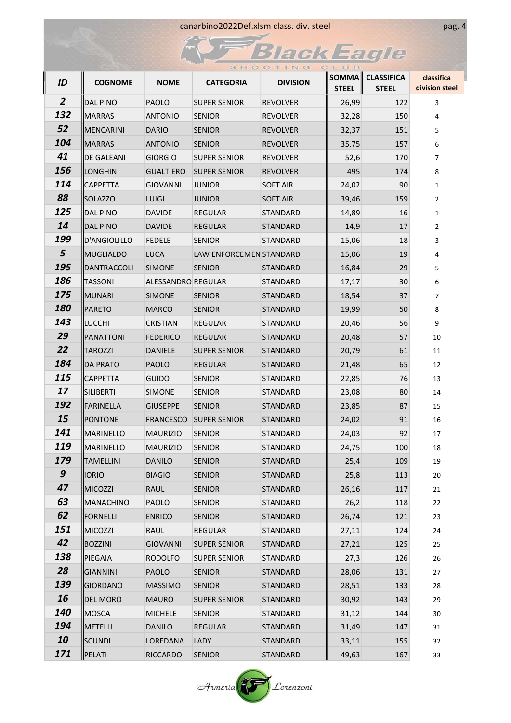|                  |                   |                    |                         | SHOOTING        | CLUB         |                                  |                              |
|------------------|-------------------|--------------------|-------------------------|-----------------|--------------|----------------------------------|------------------------------|
| ID               | <b>COGNOME</b>    | <b>NOME</b>        | <b>CATEGORIA</b>        | <b>DIVISION</b> | <b>STEEL</b> | SOMMA CLASSIFICA<br><b>STEEL</b> | classifica<br>division steel |
| $\overline{2}$   | DAL PINO          | <b>PAOLO</b>       | <b>SUPER SENIOR</b>     | <b>REVOLVER</b> | 26,99        | 122                              | 3                            |
| 132              | <b>IMARRAS</b>    | <b>ANTONIO</b>     | <b>SENIOR</b>           | <b>REVOLVER</b> | 32,28        | 150                              | 4                            |
| 52               | <b>MENCARINI</b>  | <b>DARIO</b>       | <b>SENIOR</b>           | REVOLVER        | 32,37        | 151                              | 5                            |
| 104              | <b>MARRAS</b>     | <b>ANTONIO</b>     | <b>SENIOR</b>           | <b>REVOLVER</b> | 35,75        | 157                              | 6                            |
| 41               | <b>DE GALEANI</b> | <b>GIORGIO</b>     | <b>SUPER SENIOR</b>     | <b>REVOLVER</b> | 52,6         | 170                              | 7                            |
| 156              | <b>ILONGHIN</b>   | <b>GUALTIERO</b>   | <b>SUPER SENIOR</b>     | REVOLVER        | 495          | 174                              | 8                            |
| 114              | <b>CAPPETTA</b>   | <b>GIOVANNI</b>    | <b>JUNIOR</b>           | <b>SOFT AIR</b> | 24,02        | 90                               | 1                            |
| 88               | <b>SOLAZZO</b>    | <b>LUIGI</b>       | <b>JUNIOR</b>           | <b>SOFT AIR</b> | 39,46        | 159                              | $\overline{2}$               |
| 125              | DAL PINO          | <b>DAVIDE</b>      | <b>REGULAR</b>          | STANDARD        | 14,89        | 16                               | 1                            |
| 14               | DAL PINO          | <b>DAVIDE</b>      | <b>REGULAR</b>          | STANDARD        | 14,9         | 17                               | $\overline{2}$               |
| 199              | D'ANGIOLILLO      | <b>FEDELE</b>      | <b>SENIOR</b>           | STANDARD        | 15,06        | 18                               | 3                            |
| 5                | <b>MUGLIALDO</b>  | <b>LUCA</b>        | LAW ENFORCEMEN STANDARD |                 | 15,06        | 19                               | 4                            |
| <b>195</b>       | DANTRACCOLI       | <b>SIMONE</b>      | <b>SENIOR</b>           | STANDARD        | 16,84        | 29                               | 5                            |
| 186              | <b>TASSONI</b>    | ALESSANDRO REGULAR |                         | STANDARD        | 17,17        | 30                               | 6                            |
| 175              | MUNARI            | <b>SIMONE</b>      | <b>SENIOR</b>           | STANDARD        | 18,54        | 37                               | 7                            |
| <b>180</b>       | <b>PARETO</b>     | <b>MARCO</b>       | <b>SENIOR</b>           | STANDARD        | 19,99        | 50                               | 8                            |
| 143              | <b>LUCCHI</b>     | <b>CRISTIAN</b>    | REGULAR                 | STANDARD        | 20,46        | 56                               | 9                            |
| 29               | <b>PANATTONI</b>  | <b>FEDERICO</b>    | REGULAR                 | STANDARD        | 20,48        | 57                               | 10                           |
| 22               | TAROZZI           | DANIELE            | <b>SUPER SENIOR</b>     | STANDARD        | 20,79        | 61                               | 11                           |
| 184              | <b>DA PRATO</b>   | <b>PAOLO</b>       | <b>REGULAR</b>          | STANDARD        | 21,48        | 65                               | 12                           |
| 115              | <b>ICAPPETTA</b>  | <b>GUIDO</b>       | <b>SENIOR</b>           | STANDARD        | 22,85        | 76                               | 13                           |
| 17               | SILIBERTI         | <b>SIMONE</b>      | <b>SENIOR</b>           | STANDARD        | 23,08        | 80                               | 14                           |
| 192              | FARINELLA         | <b>GIUSEPPE</b>    | <b>SENIOR</b>           | STANDARD        | 23,85        | 87                               | 15                           |
| 15               | <b>PONTONE</b>    | FRANCESCO          | <b>SUPER SENIOR</b>     | STANDARD        | 24,02        | 91                               | 16                           |
| 141              | MARINELLO         | <b>MAURIZIO</b>    | <b>SENIOR</b>           | STANDARD        | 24,03        | 92                               | 17                           |
| 119              | MARINELLO         | <b>MAURIZIO</b>    | SENIOR                  | STANDARD        | 24,75        | 100                              | 18                           |
| 179              | TAMELLINI         | <b>DANILO</b>      | <b>SENIOR</b>           | <b>STANDARD</b> | 25,4         | 109                              | 19                           |
| $\boldsymbol{g}$ | <b>IORIO</b>      | <b>BIAGIO</b>      | <b>SENIOR</b>           | STANDARD        | 25,8         | 113                              | 20                           |
| 47               | MICOZZI           | RAUL               | SENIOR                  | STANDARD        | 26,16        | 117                              | 21                           |
| 63               | MANACHINO         | PAOLO              | <b>SENIOR</b>           | STANDARD        | 26,2         | 118                              | 22                           |
| 62               | FORNELLI          | <b>ENRICO</b>      | <b>SENIOR</b>           | STANDARD        | 26,74        | 121                              | 23                           |
| 151              | <b>MICOZZI</b>    | RAUL               | REGULAR                 | STANDARD        | 27,11        | 124                              | 24                           |
| 42               | BOZZINI           | <b>GIOVANNI</b>    | <b>SUPER SENIOR</b>     | STANDARD        | 27,21        | 125                              | 25                           |
| 138              | PIEGAIA           | RODOLFO            | <b>SUPER SENIOR</b>     | STANDARD        | 27,3         | 126                              | 26                           |
| 28               | GIANNINI          | PAOLO              | <b>SENIOR</b>           | STANDARD        | 28,06        | 131                              | 27                           |
| 139              | GIORDANO          | <b>MASSIMO</b>     | <b>SENIOR</b>           | <b>STANDARD</b> | 28,51        | 133                              | 28                           |
| 16               | <b>DEL MORO</b>   | <b>MAURO</b>       | <b>SUPER SENIOR</b>     | STANDARD        | 30,92        | 143                              | 29                           |
| <b>140</b>       | MOSCA             | <b>MICHELE</b>     | <b>SENIOR</b>           | STANDARD        | 31,12        | 144                              | 30                           |
| 194              | METELLI           | DANILO             | REGULAR                 | STANDARD        | 31,49        | 147                              | 31                           |
| 10               | SCUNDI            | LOREDANA           | LADY                    | <b>STANDARD</b> | 33,11        | 155                              | 32                           |
| 171              | <b>PELATI</b>     | RICCARDO           | SENIOR                  | STANDARD        | 49,63        | 167                              | 33                           |